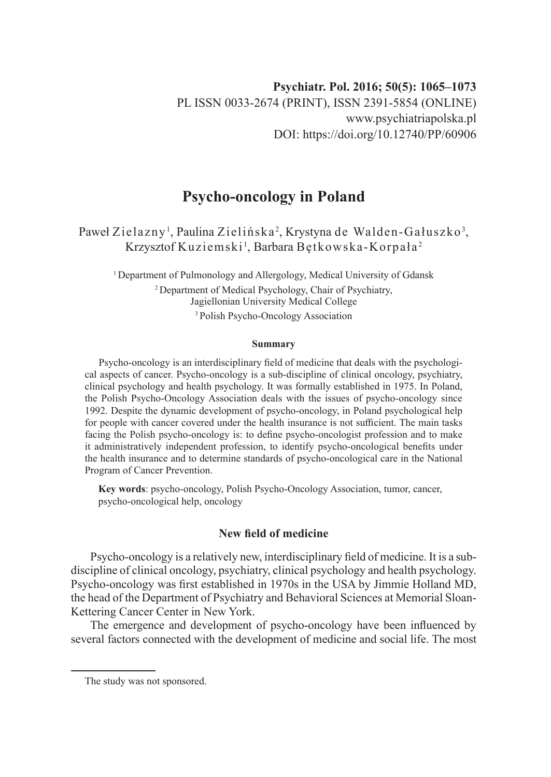# **Psycho-oncology in Poland**

# Paweł Zielazny<sup>1</sup>, Paulina Zielińska<sup>2</sup>, Krystyna de Walden-Gałuszko<sup>3</sup>, Krzysztof Kuziemski<sup>1</sup>, Barbara Bętkowska-Korpała<sup>2</sup>

<sup>1</sup> Department of Pulmonology and Allergology, Medical University of Gdansk <sup>2</sup> Department of Medical Psychology, Chair of Psychiatry, Jagiellonian University Medical College <sup>3</sup>Polish Psycho-Oncology Association

#### **Summary**

Psycho-oncology is an interdisciplinary field of medicine that deals with the psychological aspects of cancer. Psycho-oncology is a sub-discipline of clinical oncology, psychiatry, clinical psychology and health psychology. It was formally established in 1975. In Poland, the Polish Psycho-Oncology Association deals with the issues of psycho-oncology since 1992. Despite the dynamic development of psycho-oncology, in Poland psychological help for people with cancer covered under the health insurance is not sufficient. The main tasks facing the Polish psycho-oncology is: to define psycho-oncologist profession and to make it administratively independent profession, to identify psycho-oncological benefits under the health insurance and to determine standards of psycho-oncological care in the National Program of Cancer Prevention.

**Key words**: psycho-oncology, Polish Psycho-Oncology Association, tumor, cancer, psycho-oncological help, oncology

## **New field of medicine**

Psycho-oncology is a relatively new, interdisciplinary field of medicine. It is a subdiscipline of clinical oncology, psychiatry, clinical psychology and health psychology. Psycho-oncology was first established in 1970s in the USA by Jimmie Holland MD, the head of the Department of Psychiatry and Behavioral Sciences at Memorial Sloan-Kettering Cancer Center in New York.

The emergence and development of psycho-oncology have been influenced by several factors connected with the development of medicine and social life. The most

The study was not sponsored.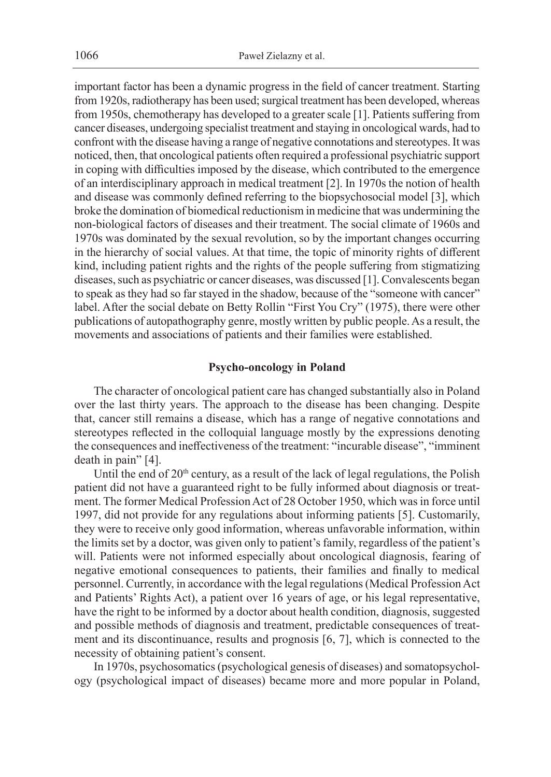important factor has been a dynamic progress in the field of cancer treatment. Starting from 1920s, radiotherapy has been used; surgical treatment has been developed, whereas from 1950s, chemotherapy has developed to a greater scale [1]. Patients suffering from cancer diseases, undergoing specialist treatment and staying in oncological wards, had to confront with the disease having a range of negative connotations and stereotypes. It was noticed, then, that oncological patients often required a professional psychiatric support in coping with difficulties imposed by the disease, which contributed to the emergence of an interdisciplinary approach in medical treatment [2]. In 1970s the notion of health and disease was commonly defined referring to the biopsychosocial model [3], which broke the domination of biomedical reductionism in medicine that was undermining the non-biological factors of diseases and their treatment. The social climate of 1960s and 1970s was dominated by the sexual revolution, so by the important changes occurring in the hierarchy of social values. At that time, the topic of minority rights of different kind, including patient rights and the rights of the people suffering from stigmatizing diseases, such as psychiatric or cancer diseases, was discussed [1]. Convalescents began to speak as they had so far stayed in the shadow, because of the "someone with cancer" label. After the social debate on Betty Rollin "First You Cry" (1975), there were other publications of autopathography genre, mostly written by public people. As a result, the movements and associations of patients and their families were established.

#### **Psycho-oncology in Poland**

The character of oncological patient care has changed substantially also in Poland over the last thirty years. The approach to the disease has been changing. Despite that, cancer still remains a disease, which has a range of negative connotations and stereotypes reflected in the colloquial language mostly by the expressions denoting the consequences and ineffectiveness of the treatment: "incurable disease", "imminent death in pain" [4].

Until the end of  $20<sup>th</sup>$  century, as a result of the lack of legal regulations, the Polish patient did not have a guaranteed right to be fully informed about diagnosis or treatment. The former Medical Profession Act of 28 October 1950, which was in force until 1997, did not provide for any regulations about informing patients [5]. Customarily, they were to receive only good information, whereas unfavorable information, within the limits set by a doctor, was given only to patient's family, regardless of the patient's will. Patients were not informed especially about oncological diagnosis, fearing of negative emotional consequences to patients, their families and finally to medical personnel. Currently, in accordance with the legal regulations (Medical Profession Act and Patients' Rights Act), a patient over 16 years of age, or his legal representative, have the right to be informed by a doctor about health condition, diagnosis, suggested and possible methods of diagnosis and treatment, predictable consequences of treatment and its discontinuance, results and prognosis [6, 7], which is connected to the necessity of obtaining patient's consent.

In 1970s, psychosomatics (psychological genesis of diseases) and somatopsychology (psychological impact of diseases) became more and more popular in Poland,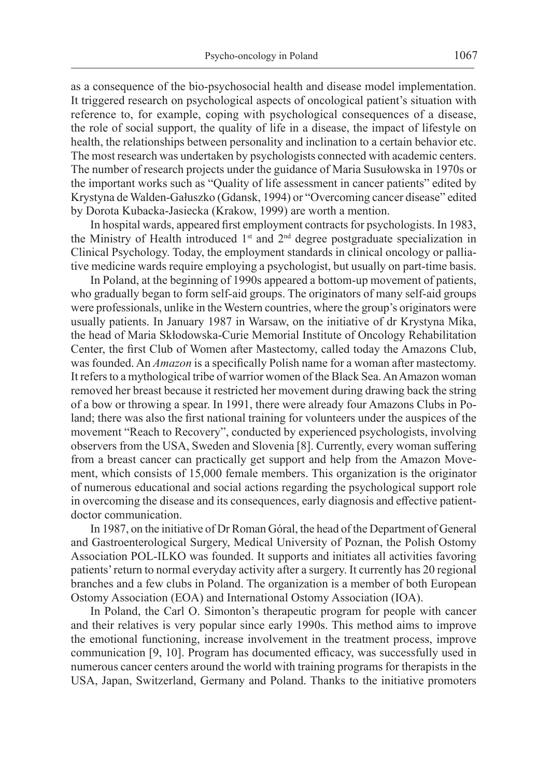as a consequence of the bio-psychosocial health and disease model implementation. It triggered research on psychological aspects of oncological patient's situation with reference to, for example, coping with psychological consequences of a disease, the role of social support, the quality of life in a disease, the impact of lifestyle on health, the relationships between personality and inclination to a certain behavior etc. The most research was undertaken by psychologists connected with academic centers. The number of research projects under the guidance of Maria Susułowska in 1970s or the important works such as "Quality of life assessment in cancer patients" edited by Krystyna de Walden-Gałuszko (Gdansk, 1994) or "Overcoming cancer disease" edited by Dorota Kubacka-Jasiecka (Krakow, 1999) are worth a mention.

In hospital wards, appeared first employment contracts for psychologists. In 1983, the Ministry of Health introduced 1st and 2nd degree postgraduate specialization in Clinical Psychology. Today, the employment standards in clinical oncology or palliative medicine wards require employing a psychologist, but usually on part-time basis.

In Poland, at the beginning of 1990s appeared a bottom-up movement of patients, who gradually began to form self-aid groups. The originators of many self-aid groups were professionals, unlike in the Western countries, where the group's originators were usually patients. In January 1987 in Warsaw, on the initiative of dr Krystyna Mika, the head of Maria Skłodowska-Curie Memorial Institute of Oncology Rehabilitation Center, the first Club of Women after Mastectomy, called today the Amazons Club, was founded. An *Amazon* is a specifically Polish name for a woman after mastectomy. It refers to a mythological tribe of warrior women of the Black Sea. An Amazon woman removed her breast because it restricted her movement during drawing back the string of a bow or throwing a spear. In 1991, there were already four Amazons Clubs in Poland; there was also the first national training for volunteers under the auspices of the movement "Reach to Recovery", conducted by experienced psychologists, involving observers from the USA, Sweden and Slovenia [8]. Currently, every woman suffering from a breast cancer can practically get support and help from the Amazon Movement, which consists of 15,000 female members. This organization is the originator of numerous educational and social actions regarding the psychological support role in overcoming the disease and its consequences, early diagnosis and effective patientdoctor communication.

In 1987, on the initiative of Dr Roman Góral, the head of the Department of General and Gastroenterological Surgery, Medical University of Poznan, the Polish Ostomy Association POL-ILKO was founded. It supports and initiates all activities favoring patients' return to normal everyday activity after a surgery. It currently has 20 regional branches and a few clubs in Poland. The organization is a member of both European Ostomy Association (EOA) and International Ostomy Association (IOA).

In Poland, the Carl O. Simonton's therapeutic program for people with cancer and their relatives is very popular since early 1990s. This method aims to improve the emotional functioning, increase involvement in the treatment process, improve communication [9, 10]. Program has documented efficacy, was successfully used in numerous cancer centers around the world with training programs for therapists in the USA, Japan, Switzerland, Germany and Poland. Thanks to the initiative promoters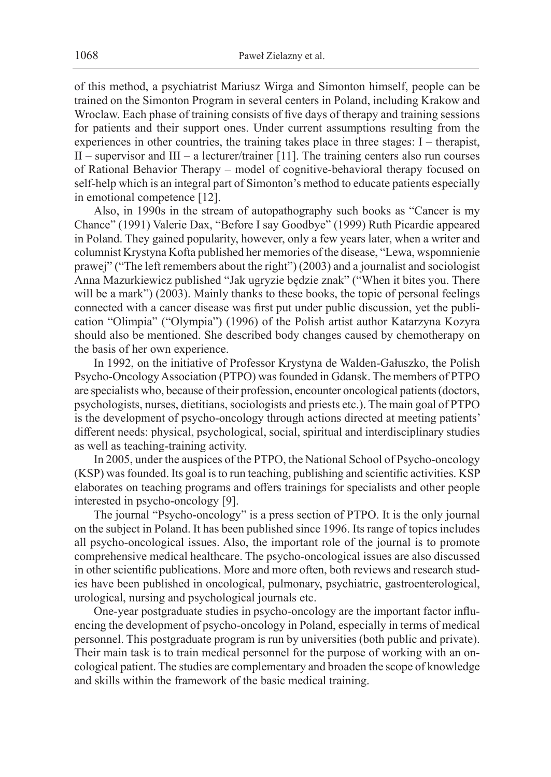of this method, a psychiatrist Mariusz Wirga and Simonton himself, people can be trained on the Simonton Program in several centers in Poland, including Krakow and Wroclaw. Each phase of training consists of five days of therapy and training sessions for patients and their support ones. Under current assumptions resulting from the experiences in other countries, the training takes place in three stages: I – therapist, II – supervisor and III – a lecturer/trainer [11]. The training centers also run courses of Rational Behavior Therapy – model of cognitive-behavioral therapy focused on self-help which is an integral part of Simonton's method to educate patients especially in emotional competence [12].

Also, in 1990s in the stream of autopathography such books as "Cancer is my Chance" (1991) Valerie Dax, "Before I say Goodbye" (1999) Ruth Picardie appeared in Poland. They gained popularity, however, only a few years later, when a writer and columnist Krystyna Kofta published her memories of the disease, "Lewa, wspomnienie prawej" ("The left remembers about the right") (2003) and a journalist and sociologist Anna Mazurkiewicz published "Jak ugryzie będzie znak" ("When it bites you. There will be a mark") (2003). Mainly thanks to these books, the topic of personal feelings connected with a cancer disease was first put under public discussion, yet the publication "Olimpia" ("Olympia") (1996) of the Polish artist author Katarzyna Kozyra should also be mentioned. She described body changes caused by chemotherapy on the basis of her own experience.

In 1992, on the initiative of Professor Krystyna de Walden-Gałuszko, the Polish Psycho-Oncology Association (PTPO) was founded in Gdansk. The members of PTPO are specialists who, because of their profession, encounter oncological patients (doctors, psychologists, nurses, dietitians, sociologists and priests etc.). The main goal of PTPO is the development of psycho-oncology through actions directed at meeting patients' different needs: physical, psychological, social, spiritual and interdisciplinary studies as well as teaching-training activity.

In 2005, under the auspices of the PTPO, the National School of Psycho-oncology (KSP) was founded. Its goal is to run teaching, publishing and scientific activities. KSP elaborates on teaching programs and offers trainings for specialists and other people interested in psycho-oncology [9].

The journal "Psycho-oncology" is a press section of PTPO. It is the only journal on the subject in Poland. It has been published since 1996. Its range of topics includes all psycho-oncological issues. Also, the important role of the journal is to promote comprehensive medical healthcare. The psycho-oncological issues are also discussed in other scientific publications. More and more often, both reviews and research studies have been published in oncological, pulmonary, psychiatric, gastroenterological, urological, nursing and psychological journals etc.

One-year postgraduate studies in psycho-oncology are the important factor influencing the development of psycho-oncology in Poland, especially in terms of medical personnel. This postgraduate program is run by universities (both public and private). Their main task is to train medical personnel for the purpose of working with an oncological patient. The studies are complementary and broaden the scope of knowledge and skills within the framework of the basic medical training.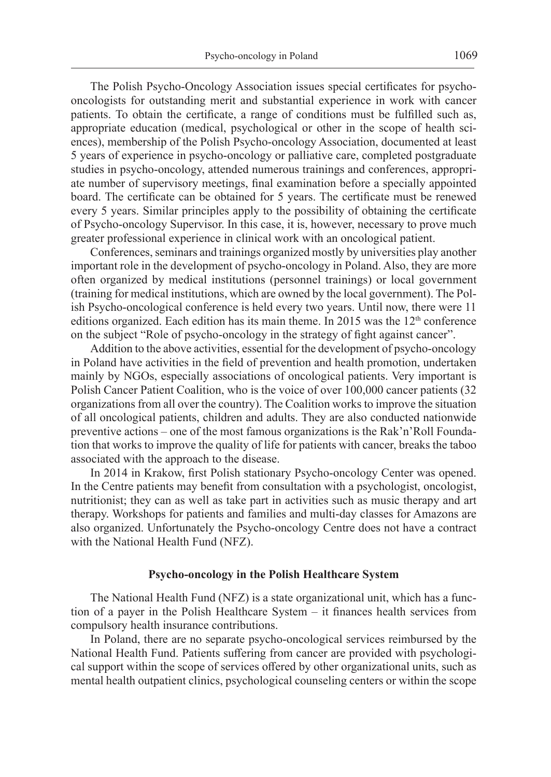The Polish Psycho-Oncology Association issues special certificates for psychooncologists for outstanding merit and substantial experience in work with cancer patients. To obtain the certificate, a range of conditions must be fulfilled such as, appropriate education (medical, psychological or other in the scope of health sciences), membership of the Polish Psycho-oncology Association, documented at least 5 years of experience in psycho-oncology or palliative care, completed postgraduate studies in psycho-oncology, attended numerous trainings and conferences, appropriate number of supervisory meetings, final examination before a specially appointed board. The certificate can be obtained for 5 years. The certificate must be renewed every 5 years. Similar principles apply to the possibility of obtaining the certificate of Psycho-oncology Supervisor. In this case, it is, however, necessary to prove much greater professional experience in clinical work with an oncological patient.

Conferences, seminars and trainings organized mostly by universities play another important role in the development of psycho-oncology in Poland. Also, they are more often organized by medical institutions (personnel trainings) or local government (training for medical institutions, which are owned by the local government). The Polish Psycho-oncological conference is held every two years. Until now, there were 11 editions organized. Each edition has its main theme. In 2015 was the  $12<sup>th</sup>$  conference on the subject "Role of psycho-oncology in the strategy of fight against cancer".

Addition to the above activities, essential for the development of psycho-oncology in Poland have activities in the field of prevention and health promotion, undertaken mainly by NGOs, especially associations of oncological patients. Very important is Polish Cancer Patient Coalition, who is the voice of over 100,000 cancer patients (32 organizations from all over the country). The Coalition works to improve the situation of all oncological patients, children and adults. They are also conducted nationwide preventive actions – one of the most famous organizations is the Rak'n'Roll Foundation that works to improve the quality of life for patients with cancer, breaks the taboo associated with the approach to the disease.

In 2014 in Krakow, first Polish stationary Psycho-oncology Center was opened. In the Centre patients may benefit from consultation with a psychologist, oncologist, nutritionist; they can as well as take part in activities such as music therapy and art therapy. Workshops for patients and families and multi-day classes for Amazons are also organized. Unfortunately the Psycho-oncology Centre does not have a contract with the National Health Fund (NFZ).

#### **Psycho-oncology in the Polish Healthcare System**

The National Health Fund (NFZ) is a state organizational unit, which has a function of a payer in the Polish Healthcare System – it finances health services from compulsory health insurance contributions.

In Poland, there are no separate psycho-oncological services reimbursed by the National Health Fund. Patients suffering from cancer are provided with psychological support within the scope of services offered by other organizational units, such as mental health outpatient clinics, psychological counseling centers or within the scope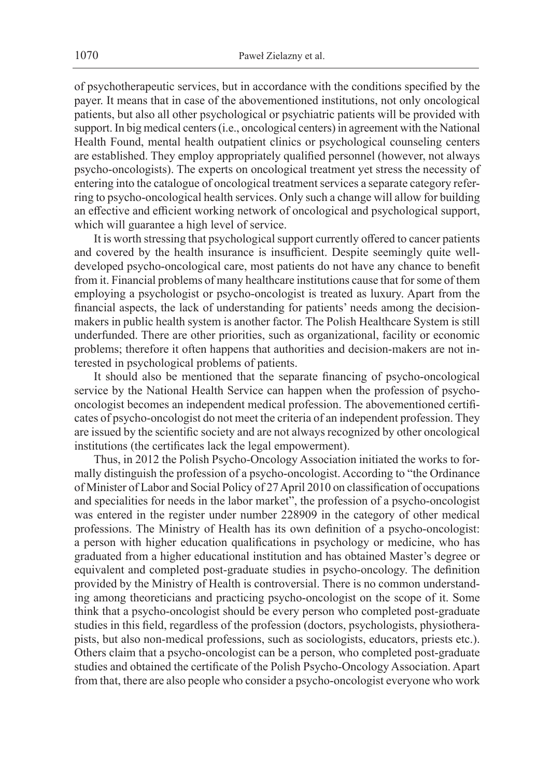of psychotherapeutic services, but in accordance with the conditions specified by the payer. It means that in case of the abovementioned institutions, not only oncological patients, but also all other psychological or psychiatric patients will be provided with support. In big medical centers (i.e., oncological centers) in agreement with the National Health Found, mental health outpatient clinics or psychological counseling centers are established. They employ appropriately qualified personnel (however, not always psycho-oncologists). The experts on oncological treatment yet stress the necessity of entering into the catalogue of oncological treatment services a separate category referring to psycho-oncological health services. Only such a change will allow for building an effective and efficient working network of oncological and psychological support, which will guarantee a high level of service.

It is worth stressing that psychological support currently offered to cancer patients and covered by the health insurance is insufficient. Despite seemingly quite welldeveloped psycho-oncological care, most patients do not have any chance to benefit from it. Financial problems of many healthcare institutions cause that for some of them employing a psychologist or psycho-oncologist is treated as luxury. Apart from the financial aspects, the lack of understanding for patients' needs among the decisionmakers in public health system is another factor. The Polish Healthcare System is still underfunded. There are other priorities, such as organizational, facility or economic problems; therefore it often happens that authorities and decision-makers are not interested in psychological problems of patients.

It should also be mentioned that the separate financing of psycho-oncological service by the National Health Service can happen when the profession of psychooncologist becomes an independent medical profession. The abovementioned certificates of psycho-oncologist do not meet the criteria of an independent profession. They are issued by the scientific society and are not always recognized by other oncological institutions (the certificates lack the legal empowerment).

Thus, in 2012 the Polish Psycho-Oncology Association initiated the works to formally distinguish the profession of a psycho-oncologist. According to "the Ordinance of Minister of Labor and Social Policy of 27 April 2010 on classification of occupations and specialities for needs in the labor market", the profession of a psycho-oncologist was entered in the register under number 228909 in the category of other medical professions. The Ministry of Health has its own definition of a psycho-oncologist: a person with higher education qualifications in psychology or medicine, who has graduated from a higher educational institution and has obtained Master's degree or equivalent and completed post-graduate studies in psycho-oncology. The definition provided by the Ministry of Health is controversial. There is no common understanding among theoreticians and practicing psycho-oncologist on the scope of it. Some think that a psycho-oncologist should be every person who completed post-graduate studies in this field, regardless of the profession (doctors, psychologists, physiotherapists, but also non-medical professions, such as sociologists, educators, priests etc.). Others claim that a psycho-oncologist can be a person, who completed post-graduate studies and obtained the certificate of the Polish Psycho-Oncology Association. Apart from that, there are also people who consider a psycho-oncologist everyone who work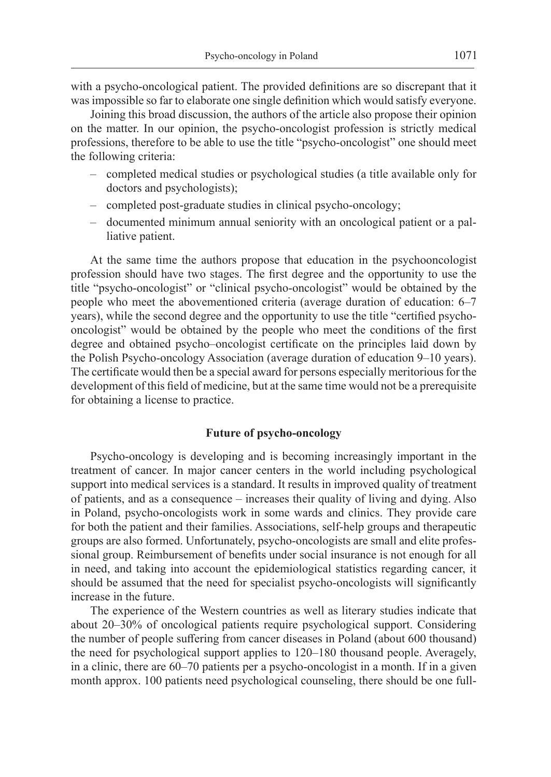with a psycho-oncological patient. The provided definitions are so discrepant that it was impossible so far to elaborate one single definition which would satisfy everyone.

Joining this broad discussion, the authors of the article also propose their opinion on the matter. In our opinion, the psycho-oncologist profession is strictly medical professions, therefore to be able to use the title "psycho-oncologist" one should meet the following criteria:

- completed medical studies or psychological studies (a title available only for doctors and psychologists);
- completed post-graduate studies in clinical psycho-oncology;
- documented minimum annual seniority with an oncological patient or a palliative patient.

At the same time the authors propose that education in the psychooncologist profession should have two stages. The first degree and the opportunity to use the title "psycho-oncologist" or "clinical psycho-oncologist" would be obtained by the people who meet the abovementioned criteria (average duration of education: 6–7 years), while the second degree and the opportunity to use the title "certified psychooncologist" would be obtained by the people who meet the conditions of the first degree and obtained psycho–oncologist certificate on the principles laid down by the Polish Psycho-oncology Association (average duration of education 9–10 years). The certificate would then be a special award for persons especially meritorious for the development of this field of medicine, but at the same time would not be a prerequisite for obtaining a license to practice.

### **Future of psycho-oncology**

Psycho-oncology is developing and is becoming increasingly important in the treatment of cancer. In major cancer centers in the world including psychological support into medical services is a standard. It results in improved quality of treatment of patients, and as a consequence – increases their quality of living and dying. Also in Poland, psycho-oncologists work in some wards and clinics. They provide care for both the patient and their families. Associations, self-help groups and therapeutic groups are also formed. Unfortunately, psycho-oncologists are small and elite professional group. Reimbursement of benefits under social insurance is not enough for all in need, and taking into account the epidemiological statistics regarding cancer, it should be assumed that the need for specialist psycho-oncologists will significantly increase in the future.

The experience of the Western countries as well as literary studies indicate that about 20–30% of oncological patients require psychological support. Considering the number of people suffering from cancer diseases in Poland (about 600 thousand) the need for psychological support applies to 120–180 thousand people. Averagely, in a clinic, there are 60–70 patients per a psycho-oncologist in a month. If in a given month approx. 100 patients need psychological counseling, there should be one full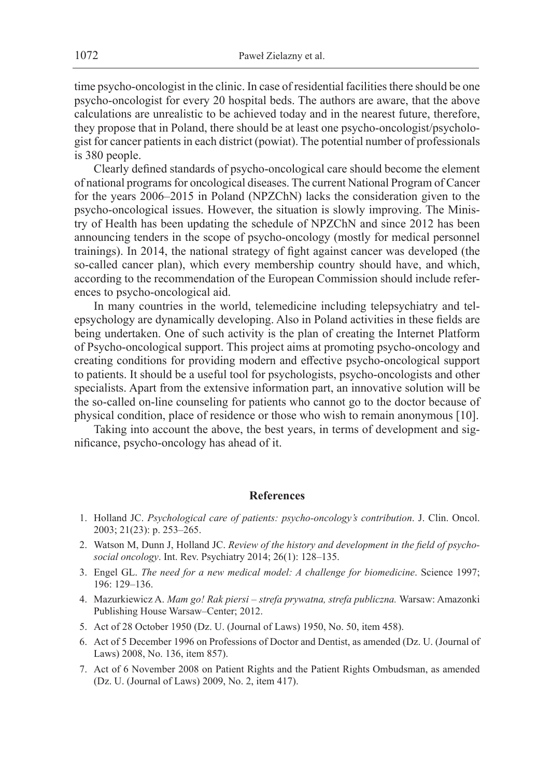time psycho-oncologist in the clinic. In case of residential facilities there should be one psycho-oncologist for every 20 hospital beds. The authors are aware, that the above calculations are unrealistic to be achieved today and in the nearest future, therefore, they propose that in Poland, there should be at least one psycho-oncologist/psychologist for cancer patients in each district (powiat). The potential number of professionals is 380 people.

Clearly defined standards of psycho-oncological care should become the element of national programs for oncological diseases. The current National Program of Cancer for the years 2006–2015 in Poland (NPZChN) lacks the consideration given to the psycho-oncological issues. However, the situation is slowly improving. The Ministry of Health has been updating the schedule of NPZChN and since 2012 has been announcing tenders in the scope of psycho-oncology (mostly for medical personnel trainings). In 2014, the national strategy of fight against cancer was developed (the so-called cancer plan), which every membership country should have, and which, according to the recommendation of the European Commission should include references to psycho-oncological aid.

In many countries in the world, telemedicine including telepsychiatry and telepsychology are dynamically developing. Also in Poland activities in these fields are being undertaken. One of such activity is the plan of creating the Internet Platform of Psycho-oncological support. This project aims at promoting psycho-oncology and creating conditions for providing modern and effective psycho-oncological support to patients. It should be a useful tool for psychologists, psycho-oncologists and other specialists. Apart from the extensive information part, an innovative solution will be the so-called on-line counseling for patients who cannot go to the doctor because of physical condition, place of residence or those who wish to remain anonymous [10].

Taking into account the above, the best years, in terms of development and significance, psycho-oncology has ahead of it.

#### **References**

- 1. Holland JC. *Psychological care of patients: psycho-oncology's contribution*. J. Clin. Oncol. 2003; 21(23): p. 253–265.
- 2. Watson M, Dunn J, Holland JC. *Review of the history and development in the field of psychosocial oncology*. Int. Rev. Psychiatry 2014; 26(1): 128–135.
- 3. Engel GL. *The need for a new medical model: A challenge for biomedicine*. Science 1997; 196: 129–136.
- 4. Mazurkiewicz A. *Mam go! Rak piersi strefa prywatna, strefa publiczna.* Warsaw: Amazonki Publishing House Warsaw–Center; 2012.
- 5. Act of 28 October 1950 (Dz. U. (Journal of Laws) 1950, No. 50, item 458).
- 6. Act of 5 December 1996 on Professions of Doctor and Dentist, as amended (Dz. U. (Journal of Laws) 2008, No. 136, item 857).
- 7. Act of 6 November 2008 on Patient Rights and the Patient Rights Ombudsman, as amended (Dz. U. (Journal of Laws) 2009, No. 2, item 417).